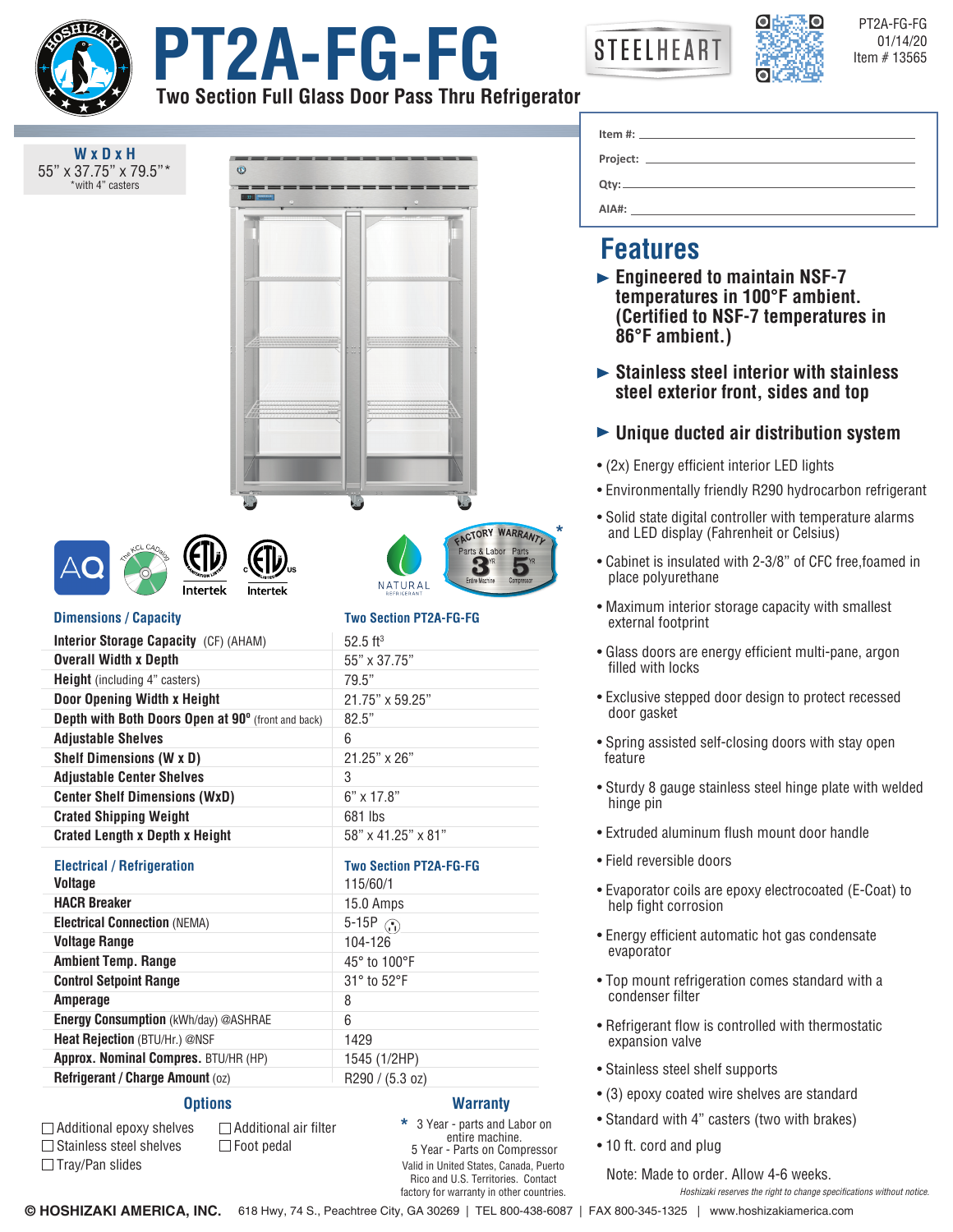

Additional epoxy shelves  $\square$  Stainless steel shelves  $\Box$  Tray/Pan slides







PT2A-FG-FG

**Two Section Full Glass Door Pass Thru Refrigerator**

| WxDxH                                                                 |                                                            |                                                                                                                                          |
|-----------------------------------------------------------------------|------------------------------------------------------------|------------------------------------------------------------------------------------------------------------------------------------------|
| 55" x 37.75" x 79.5"*<br>*with 4" casters                             |                                                            | <u> 1980 - Johann Barn, fransk politik (d. 1980)</u><br>Qty:                                                                             |
|                                                                       |                                                            |                                                                                                                                          |
|                                                                       |                                                            |                                                                                                                                          |
|                                                                       |                                                            | <b>Features</b>                                                                                                                          |
|                                                                       |                                                            | $\triangleright$ Engineered to maintain NSF-7<br>temperatures in 100°F ambient.<br>(Certified to NSF-7 temperatures in<br>86°F ambient.) |
|                                                                       |                                                            | $\triangleright$ Stainless steel interior with stainless<br>steel exterior front, sides and top                                          |
|                                                                       |                                                            | $\blacktriangleright$ Unique ducted air distribution system                                                                              |
|                                                                       |                                                            | • (2x) Energy efficient interior LED lights                                                                                              |
|                                                                       |                                                            | • Environmentally friendly R290 hydrocarbon refrigerant                                                                                  |
|                                                                       | ACTORY WARRANTY                                            | • Solid state digital controller with temperature alarms<br>and LED display (Fahrenheit or Celsius)                                      |
| Intertek<br>Intertek                                                  | Parts & Labor Parts<br>3<br>Ð<br>Entire Machine<br>NATURAL | • Cabinet is insulated with 2-3/8" of CFC free, foamed in<br>place polyurethane                                                          |
| <b>Dimensions / Capacity</b>                                          | <b>Two Section PT2A-FG-FG</b>                              | • Maximum interior storage capacity with smallest<br>external footprint                                                                  |
| Interior Storage Capacity (CF) (AHAM)<br><b>Overall Width x Depth</b> | $52.5$ ft <sup>3</sup>                                     | • Glass doors are energy efficient multi-pane, argon<br>filled with locks                                                                |
| <b>Height</b> (including 4" casters)                                  | 55" x 37.75"<br>79.5"                                      |                                                                                                                                          |
| Door Opening Width x Height                                           | 21.75" x 59.25"                                            | • Exclusive stepped door design to protect recessed<br>door gasket                                                                       |
| Depth with Both Doors Open at 90° (front and back)                    | 82.5"                                                      |                                                                                                                                          |
| <b>Adjustable Shelves</b>                                             | 6                                                          | • Spring assisted self-closing doors with stay open                                                                                      |
| <b>Shelf Dimensions (W x D)</b>                                       | 21.25" x 26"                                               | feature                                                                                                                                  |
| <b>Adjustable Center Shelves</b>                                      | 3                                                          |                                                                                                                                          |
| <b>Center Shelf Dimensions (WxD)</b>                                  | $6" \times 17.8"$                                          | • Sturdy 8 gauge stainless steel hinge plate with welded<br>hinge pin                                                                    |
| <b>Crated Shipping Weight</b>                                         | 681 lbs                                                    |                                                                                                                                          |
| <b>Crated Length x Depth x Height</b>                                 | 58" x 41.25" x 81"                                         | • Extruded aluminum flush mount door handle                                                                                              |
| <b>Electrical / Refrigeration</b><br><b>Voltage</b>                   | <b>Two Section PT2A-FG-FG</b><br>115/60/1                  | • Field reversible doors                                                                                                                 |
| <b>HACR Breaker</b>                                                   | 15.0 Amps                                                  | • Evaporator coils are epoxy electrocoated (E-Coat) to<br>help fight corrosion                                                           |
| <b>Electrical Connection (NEMA)</b>                                   | 5-15P $\binom{5}{1}$                                       |                                                                                                                                          |
| <b>Voltage Range</b>                                                  | 104-126                                                    | • Energy efficient automatic hot gas condensate<br>evaporator                                                                            |
| <b>Ambient Temp. Range</b>                                            | 45° to 100°F                                               |                                                                                                                                          |
| <b>Control Setpoint Range</b>                                         | 31° to 52°F                                                | • Top mount refrigeration comes standard with a<br>condenser filter                                                                      |
| Amperage                                                              | 8                                                          |                                                                                                                                          |
| Energy Consumption (kWh/day) @ASHRAE                                  | 6                                                          | • Refrigerant flow is controlled with thermostatic<br>expansion valve                                                                    |
| Heat Rejection (BTU/Hr.) @NSF                                         | 1429                                                       |                                                                                                                                          |
| Approx. Nominal Compres. BTU/HR (HP)                                  | 1545 (1/2HP)                                               |                                                                                                                                          |
| Refrigerant / Charge Amount (oz)                                      | R290 / (5.3 oz)                                            | • Stainless steel shelf supports                                                                                                         |
| <b>Options</b>                                                        | <b>Warranty</b>                                            | • (3) epoxy coated wire shelves are standard                                                                                             |

## d reversible doors porator coils are epoxy electrocoated (E-Coat) to p fight corrosion rgy efficient automatic hot gas condensate porator mount refrigeration comes standard with a ndenser filter

- rigerant flow is controlled with thermostatic ansion valve
- inless steel shelf supports
- epoxy coated wire shelves are standard
- Standard with 4" casters (two with brakes)
- 10 ft. cord and plug

Note: Made to order. Allow 4-6 weeks.

*Hoshizaki reserves the right to change specifications without notice.*

**\***

Additional air filter  $\Box$  Foot pedal

> Valid in United States, Canada, Puerto Rico and U.S. Territories. Contact factory for warranty in other countries.

3 Year - parts and Labor on entire machine. 5 Year - Parts on Compressor